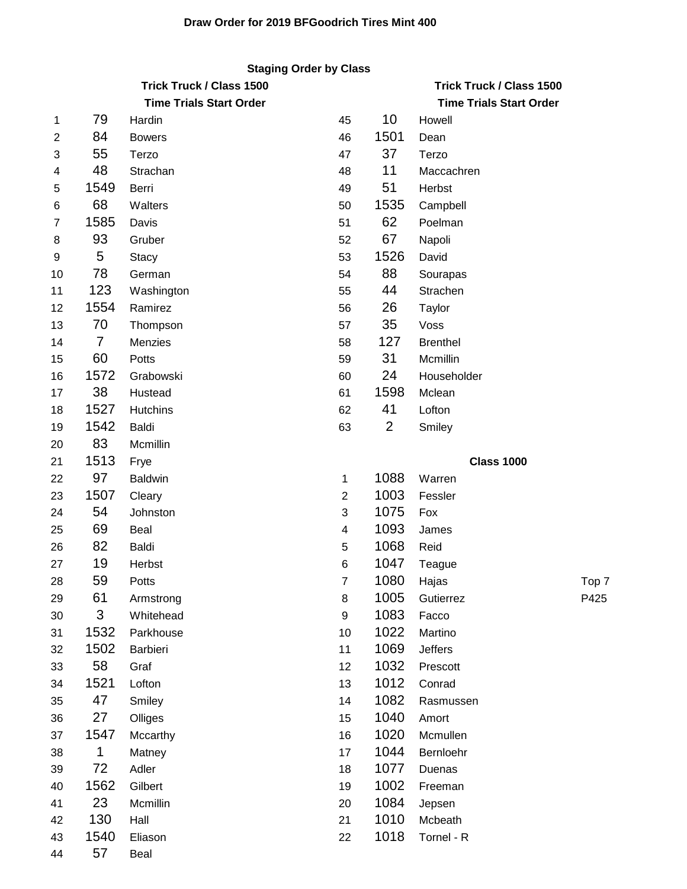## **Staging Order by Class**

|                |                | <b>Trick Truck / Class 1500</b> | <b>Trick Truck / Class 1500</b> |      |                                |       |
|----------------|----------------|---------------------------------|---------------------------------|------|--------------------------------|-------|
|                |                | <b>Time Trials Start Order</b>  |                                 |      | <b>Time Trials Start Order</b> |       |
| 1              | 79             | Hardin                          | 45                              | 10   | Howell                         |       |
| $\overline{2}$ | 84             | <b>Bowers</b>                   | 46                              | 1501 | Dean                           |       |
| 3              | 55             | Terzo                           | 47                              | 37   | Terzo                          |       |
| 4              | 48             | Strachan                        | 48                              | 11   | Maccachren                     |       |
| 5              | 1549           | Berri                           | 49                              | 51   | Herbst                         |       |
| 6              | 68             | Walters                         | 50                              | 1535 | Campbell                       |       |
| 7              | 1585           | Davis                           | 51                              | 62   | Poelman                        |       |
| 8              | 93             | Gruber                          | 52                              | 67   | Napoli                         |       |
| 9              | 5              | <b>Stacy</b>                    | 53                              | 1526 | David                          |       |
| 10             | 78             | German                          | 54                              | 88   | Sourapas                       |       |
| 11             | 123            | Washington                      | 55                              | 44   | Strachen                       |       |
| 12             | 1554           | Ramirez                         | 56                              | 26   | Taylor                         |       |
| 13             | 70             | Thompson                        | 57                              | 35   | Voss                           |       |
| 14             | $\overline{7}$ | Menzies                         | 58                              | 127  | <b>Brenthel</b>                |       |
| 15             | 60             | Potts                           | 59                              | 31   | Mcmillin                       |       |
| 16             | 1572           | Grabowski                       | 60                              | 24   | Householder                    |       |
| 17             | 38             | Hustead                         | 61                              | 1598 | Mclean                         |       |
| 18             | 1527           | Hutchins                        | 62                              | 41   | Lofton                         |       |
| 19             | 1542           | Baldi                           | 63                              | 2    | Smiley                         |       |
| 20             | 83             | Mcmillin                        |                                 |      |                                |       |
| 21             | 1513           | Frye                            |                                 |      | <b>Class 1000</b>              |       |
| 22             | 97             | <b>Baldwin</b>                  | 1                               | 1088 | Warren                         |       |
| 23             | 1507           | Cleary                          | $\overline{2}$                  | 1003 | Fessler                        |       |
| 24             | 54             | Johnston                        | 3                               | 1075 | Fox                            |       |
| 25             | 69             | Beal                            | 4                               | 1093 | James                          |       |
| 26             | 82             | Baldi                           | 5                               | 1068 | Reid                           |       |
| 27             | 19             | Herbst                          | 6                               | 1047 | Teague                         |       |
| 28             | 59             | Potts                           | 7                               | 1080 | Hajas                          | Top 7 |
| 29             | 61             | Armstrong                       | 8                               | 1005 | Gutierrez                      | P425  |
| 30             | 3              | Whitehead                       | 9                               | 1083 | Facco                          |       |
| 31             | 1532           | Parkhouse                       | 10                              | 1022 | Martino                        |       |
| 32             | 1502           | Barbieri                        | 11                              | 1069 | Jeffers                        |       |
| 33             | 58             | Graf                            | 12                              | 1032 | Prescott                       |       |
| 34             | 1521           | Lofton                          | 13                              | 1012 | Conrad                         |       |
| 35             | 47             | Smiley                          | 14                              | 1082 | Rasmussen                      |       |
| 36             | 27             | Olliges                         | 15                              | 1040 | Amort                          |       |
| 37             | 1547           | Mccarthy                        | 16                              | 1020 | Mcmullen                       |       |
| 38             | 1              | Matney                          | 17                              | 1044 | Bernloehr                      |       |
| 39             | 72             | Adler                           | 18                              | 1077 | Duenas                         |       |
| 40             | 1562           | Gilbert                         | 19                              | 1002 | Freeman                        |       |
| 41             | 23             | Mcmillin                        | 20                              | 1084 | Jepsen                         |       |
| 42             | 130            | Hall                            | 21                              | 1010 | Mcbeath                        |       |
| 43             | 1540           | Eliason                         | 22                              | 1018 | Tornel - R                     |       |

57 Beal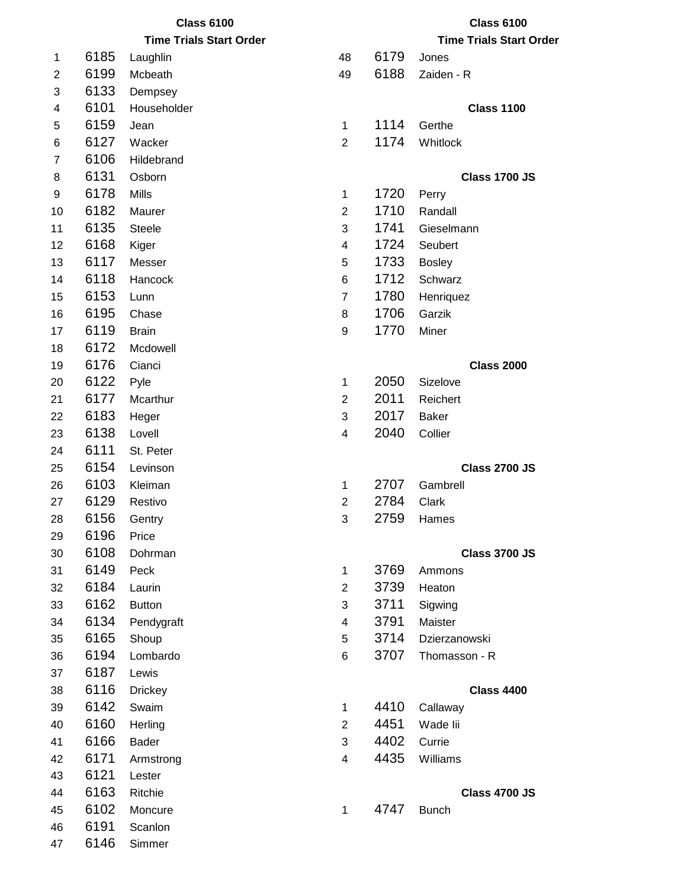|    | <b>Class 6100</b> |                                |                         |      | <b>Class 6100</b>              |
|----|-------------------|--------------------------------|-------------------------|------|--------------------------------|
|    |                   | <b>Time Trials Start Order</b> |                         |      | <b>Time Trials Start Order</b> |
| 1  | 6185              | Laughlin                       | 48                      | 6179 | Jones                          |
| 2  | 6199              | Mcbeath                        | 49                      | 6188 | Zaiden - R                     |
| 3  | 6133              | Dempsey                        |                         |      |                                |
| 4  | 6101              | Householder                    |                         |      | <b>Class 1100</b>              |
| 5  | 6159              | Jean                           | $\mathbf 1$             | 1114 | Gerthe                         |
| 6  | 6127              | Wacker                         | $\overline{2}$          | 1174 | Whitlock                       |
| 7  | 6106              | Hildebrand                     |                         |      |                                |
| 8  | 6131              | Osborn                         |                         |      | <b>Class 1700 JS</b>           |
| 9  | 6178              | <b>Mills</b>                   | 1                       | 1720 | Perry                          |
| 10 | 6182              | Maurer                         | $\overline{2}$          | 1710 | Randall                        |
| 11 | 6135              | <b>Steele</b>                  | 3                       | 1741 | Gieselmann                     |
| 12 | 6168              | Kiger                          | 4                       | 1724 | Seubert                        |
| 13 | 6117              | Messer                         | 5                       | 1733 | <b>Bosley</b>                  |
| 14 | 6118              | Hancock                        | 6                       | 1712 | Schwarz                        |
| 15 | 6153              | Lunn                           | $\overline{7}$          | 1780 | Henriquez                      |
| 16 | 6195              | Chase                          | 8                       | 1706 | Garzik                         |
| 17 | 6119              | <b>Brain</b>                   | 9                       | 1770 | Miner                          |
| 18 | 6172              | Mcdowell                       |                         |      |                                |
| 19 | 6176              | Cianci                         |                         |      | <b>Class 2000</b>              |
| 20 | 6122              | Pyle                           | 1                       | 2050 | Sizelove                       |
| 21 | 6177              | Mcarthur                       | $\overline{2}$          | 2011 | Reichert                       |
| 22 | 6183              | Heger                          | 3                       | 2017 | <b>Baker</b>                   |
| 23 | 6138              | Lovell                         | 4                       | 2040 | Collier                        |
| 24 | 6111              | St. Peter                      |                         |      |                                |
| 25 | 6154              | Levinson                       |                         |      | <b>Class 2700 JS</b>           |
| 26 | 6103              | Kleiman                        | 1                       | 2707 | Gambrell                       |
| 27 | 6129              | Restivo                        | $\overline{2}$          | 2784 | Clark                          |
| 28 | 6156              | Gentry                         | 3                       | 2759 | Hames                          |
| 29 | 6196              | Price                          |                         |      |                                |
| 30 | 6108              | Dohrman                        |                         |      | <b>Class 3700 JS</b>           |
| 31 | 6149              | Peck                           | $\mathbf{1}$            | 3769 | Ammons                         |
| 32 | 6184              | Laurin                         | $\overline{2}$          | 3739 | Heaton                         |
| 33 | 6162              | <b>Button</b>                  | 3                       | 3711 | Sigwing                        |
| 34 | 6134              | Pendygraft                     | 4                       | 3791 | Maister                        |
| 35 | 6165              | Shoup                          | 5                       | 3714 | Dzierzanowski                  |
| 36 | 6194              | Lombardo                       | 6                       | 3707 | Thomasson - R                  |
| 37 | 6187              | Lewis                          |                         |      |                                |
| 38 | 6116              | <b>Drickey</b>                 |                         |      | <b>Class 4400</b>              |
| 39 | 6142              | Swaim                          | 1                       | 4410 | Callaway                       |
| 40 | 6160              | Herling                        | $\overline{2}$          | 4451 | Wade lii                       |
| 41 | 6166              | Bader                          | 3                       | 4402 | Currie                         |
| 42 | 6171              | Armstrong                      | $\overline{\mathbf{4}}$ | 4435 | Williams                       |
| 43 | 6121              | Lester                         |                         |      |                                |
| 44 | 6163              | Ritchie                        |                         |      | <b>Class 4700 JS</b>           |
| 45 | 6102              | Moncure                        | 1                       | 4747 | <b>Bunch</b>                   |
| 46 | 6191              | Scanlon                        |                         |      |                                |
| 47 | 6146              | Simmer                         |                         |      |                                |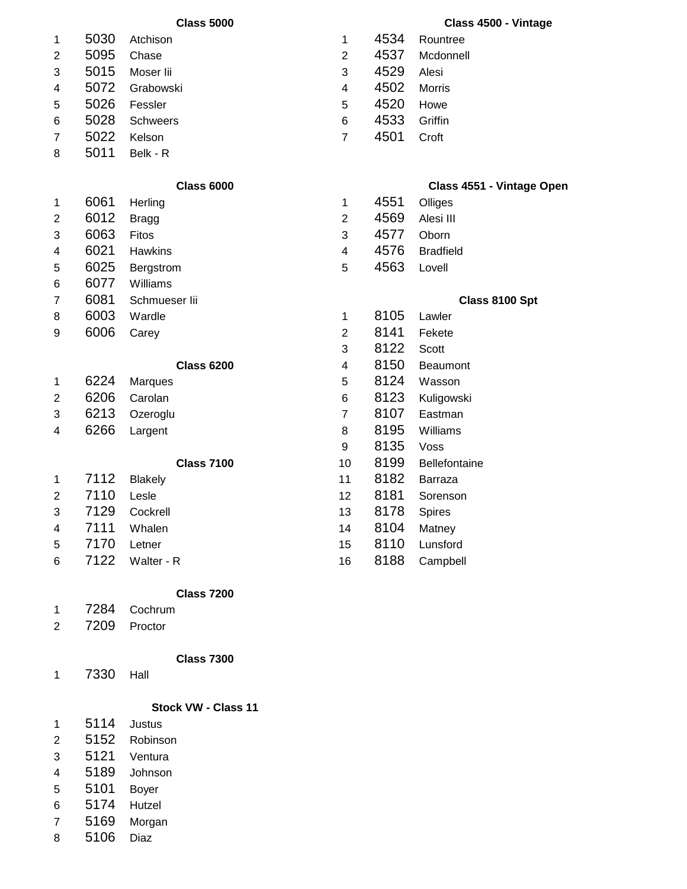| 5030<br>4534<br>Atchison<br>$\mathbf 1$<br>Rountree<br>1<br>5095<br>4537<br>$\overline{2}$<br>2<br>Chase<br>Mcdonnell<br>5015<br>3<br>4529<br>3<br>Moser lii<br>Alesi<br>5072<br>4502<br>Grabowski<br>Morris<br>$\overline{\mathbf{4}}$<br>4<br>5026<br>4520<br>Fessler<br>5<br>5<br>Howe<br>5028<br>4533<br>6<br>Griffin<br><b>Schweers</b><br>6<br>5022<br>4501<br>Kelson<br>$\overline{7}$<br>Croft<br>7<br>5011<br>Belk - R<br>8<br><b>Class 6000</b><br>6061<br>4551<br>Herling<br>Olliges<br>$\mathbf 1$<br>1<br>6012<br>4569<br>$\overline{2}$<br>Alesi III<br>$\overline{c}$<br><b>Bragg</b><br>6063<br>4577<br>3<br>Oborn<br>3<br>Fitos<br>6021<br>4576<br>Hawkins<br>$\overline{\mathbf{4}}$<br><b>Bradfield</b><br>4<br>6025<br>4563<br>5<br>Lovell<br>5<br>Bergstrom<br>6077<br>Williams<br>6<br>6081<br>Schmueser lii<br>7<br>Class 8100 Spt<br>6003<br>8105<br>8<br>Wardle<br>Lawler<br>1<br>6006<br>8141<br>$\overline{2}$<br>9<br>Fekete<br>Carey<br>8122<br>3<br>Scott<br>8150<br>$\overline{\mathbf{4}}$<br><b>Class 6200</b><br>Beaumont<br>6224<br>8124<br>5<br>Wasson<br>1<br><b>Marques</b><br>6206<br>8123<br>Carolan<br>6<br>$\overline{\mathbf{c}}$<br>Kuligowski<br>6213<br>8107<br>$\overline{7}$<br>Eastman<br>3<br>Ozeroglu<br>6266<br>8195<br>Williams<br>4<br>Largent<br>8<br>8135<br>9<br>Voss<br>8199<br><b>Class 7100</b><br>10<br>Bellefontaine<br>7112<br>8182<br>11<br><b>Blakely</b><br>Barraza<br>1<br>7110<br>8181<br>Lesle<br>$\overline{2}$<br>12<br>Sorenson<br>7129<br>8178<br>3<br>Cockrell<br>13<br>Spires<br>7111<br>8104<br>Whalen<br>Matney<br>4<br>14<br>8110<br>7170<br>5<br>15<br>Lunsford<br>Letner<br>7122<br>8188<br>Walter - R<br>16<br>Campbell<br>6<br><b>Class 7200</b><br>7284<br>Cochrum<br>1<br>7209<br>$\overline{2}$<br>Proctor<br><b>Class 7300</b> |  | <b>Class 5000</b> |  | Class 4500 - Vintage      |
|----------------------------------------------------------------------------------------------------------------------------------------------------------------------------------------------------------------------------------------------------------------------------------------------------------------------------------------------------------------------------------------------------------------------------------------------------------------------------------------------------------------------------------------------------------------------------------------------------------------------------------------------------------------------------------------------------------------------------------------------------------------------------------------------------------------------------------------------------------------------------------------------------------------------------------------------------------------------------------------------------------------------------------------------------------------------------------------------------------------------------------------------------------------------------------------------------------------------------------------------------------------------------------------------------------------------------------------------------------------------------------------------------------------------------------------------------------------------------------------------------------------------------------------------------------------------------------------------------------------------------------------------------------------------------------------------------------------------------------------------------------------------------------------------------------------------|--|-------------------|--|---------------------------|
|                                                                                                                                                                                                                                                                                                                                                                                                                                                                                                                                                                                                                                                                                                                                                                                                                                                                                                                                                                                                                                                                                                                                                                                                                                                                                                                                                                                                                                                                                                                                                                                                                                                                                                                                                                                                                      |  |                   |  |                           |
|                                                                                                                                                                                                                                                                                                                                                                                                                                                                                                                                                                                                                                                                                                                                                                                                                                                                                                                                                                                                                                                                                                                                                                                                                                                                                                                                                                                                                                                                                                                                                                                                                                                                                                                                                                                                                      |  |                   |  |                           |
|                                                                                                                                                                                                                                                                                                                                                                                                                                                                                                                                                                                                                                                                                                                                                                                                                                                                                                                                                                                                                                                                                                                                                                                                                                                                                                                                                                                                                                                                                                                                                                                                                                                                                                                                                                                                                      |  |                   |  |                           |
|                                                                                                                                                                                                                                                                                                                                                                                                                                                                                                                                                                                                                                                                                                                                                                                                                                                                                                                                                                                                                                                                                                                                                                                                                                                                                                                                                                                                                                                                                                                                                                                                                                                                                                                                                                                                                      |  |                   |  |                           |
|                                                                                                                                                                                                                                                                                                                                                                                                                                                                                                                                                                                                                                                                                                                                                                                                                                                                                                                                                                                                                                                                                                                                                                                                                                                                                                                                                                                                                                                                                                                                                                                                                                                                                                                                                                                                                      |  |                   |  |                           |
|                                                                                                                                                                                                                                                                                                                                                                                                                                                                                                                                                                                                                                                                                                                                                                                                                                                                                                                                                                                                                                                                                                                                                                                                                                                                                                                                                                                                                                                                                                                                                                                                                                                                                                                                                                                                                      |  |                   |  |                           |
|                                                                                                                                                                                                                                                                                                                                                                                                                                                                                                                                                                                                                                                                                                                                                                                                                                                                                                                                                                                                                                                                                                                                                                                                                                                                                                                                                                                                                                                                                                                                                                                                                                                                                                                                                                                                                      |  |                   |  |                           |
|                                                                                                                                                                                                                                                                                                                                                                                                                                                                                                                                                                                                                                                                                                                                                                                                                                                                                                                                                                                                                                                                                                                                                                                                                                                                                                                                                                                                                                                                                                                                                                                                                                                                                                                                                                                                                      |  |                   |  |                           |
|                                                                                                                                                                                                                                                                                                                                                                                                                                                                                                                                                                                                                                                                                                                                                                                                                                                                                                                                                                                                                                                                                                                                                                                                                                                                                                                                                                                                                                                                                                                                                                                                                                                                                                                                                                                                                      |  |                   |  | Class 4551 - Vintage Open |
|                                                                                                                                                                                                                                                                                                                                                                                                                                                                                                                                                                                                                                                                                                                                                                                                                                                                                                                                                                                                                                                                                                                                                                                                                                                                                                                                                                                                                                                                                                                                                                                                                                                                                                                                                                                                                      |  |                   |  |                           |
|                                                                                                                                                                                                                                                                                                                                                                                                                                                                                                                                                                                                                                                                                                                                                                                                                                                                                                                                                                                                                                                                                                                                                                                                                                                                                                                                                                                                                                                                                                                                                                                                                                                                                                                                                                                                                      |  |                   |  |                           |
|                                                                                                                                                                                                                                                                                                                                                                                                                                                                                                                                                                                                                                                                                                                                                                                                                                                                                                                                                                                                                                                                                                                                                                                                                                                                                                                                                                                                                                                                                                                                                                                                                                                                                                                                                                                                                      |  |                   |  |                           |
|                                                                                                                                                                                                                                                                                                                                                                                                                                                                                                                                                                                                                                                                                                                                                                                                                                                                                                                                                                                                                                                                                                                                                                                                                                                                                                                                                                                                                                                                                                                                                                                                                                                                                                                                                                                                                      |  |                   |  |                           |
|                                                                                                                                                                                                                                                                                                                                                                                                                                                                                                                                                                                                                                                                                                                                                                                                                                                                                                                                                                                                                                                                                                                                                                                                                                                                                                                                                                                                                                                                                                                                                                                                                                                                                                                                                                                                                      |  |                   |  |                           |
|                                                                                                                                                                                                                                                                                                                                                                                                                                                                                                                                                                                                                                                                                                                                                                                                                                                                                                                                                                                                                                                                                                                                                                                                                                                                                                                                                                                                                                                                                                                                                                                                                                                                                                                                                                                                                      |  |                   |  |                           |
|                                                                                                                                                                                                                                                                                                                                                                                                                                                                                                                                                                                                                                                                                                                                                                                                                                                                                                                                                                                                                                                                                                                                                                                                                                                                                                                                                                                                                                                                                                                                                                                                                                                                                                                                                                                                                      |  |                   |  |                           |
|                                                                                                                                                                                                                                                                                                                                                                                                                                                                                                                                                                                                                                                                                                                                                                                                                                                                                                                                                                                                                                                                                                                                                                                                                                                                                                                                                                                                                                                                                                                                                                                                                                                                                                                                                                                                                      |  |                   |  |                           |
|                                                                                                                                                                                                                                                                                                                                                                                                                                                                                                                                                                                                                                                                                                                                                                                                                                                                                                                                                                                                                                                                                                                                                                                                                                                                                                                                                                                                                                                                                                                                                                                                                                                                                                                                                                                                                      |  |                   |  |                           |
|                                                                                                                                                                                                                                                                                                                                                                                                                                                                                                                                                                                                                                                                                                                                                                                                                                                                                                                                                                                                                                                                                                                                                                                                                                                                                                                                                                                                                                                                                                                                                                                                                                                                                                                                                                                                                      |  |                   |  |                           |
|                                                                                                                                                                                                                                                                                                                                                                                                                                                                                                                                                                                                                                                                                                                                                                                                                                                                                                                                                                                                                                                                                                                                                                                                                                                                                                                                                                                                                                                                                                                                                                                                                                                                                                                                                                                                                      |  |                   |  |                           |
|                                                                                                                                                                                                                                                                                                                                                                                                                                                                                                                                                                                                                                                                                                                                                                                                                                                                                                                                                                                                                                                                                                                                                                                                                                                                                                                                                                                                                                                                                                                                                                                                                                                                                                                                                                                                                      |  |                   |  |                           |
|                                                                                                                                                                                                                                                                                                                                                                                                                                                                                                                                                                                                                                                                                                                                                                                                                                                                                                                                                                                                                                                                                                                                                                                                                                                                                                                                                                                                                                                                                                                                                                                                                                                                                                                                                                                                                      |  |                   |  |                           |
|                                                                                                                                                                                                                                                                                                                                                                                                                                                                                                                                                                                                                                                                                                                                                                                                                                                                                                                                                                                                                                                                                                                                                                                                                                                                                                                                                                                                                                                                                                                                                                                                                                                                                                                                                                                                                      |  |                   |  |                           |
|                                                                                                                                                                                                                                                                                                                                                                                                                                                                                                                                                                                                                                                                                                                                                                                                                                                                                                                                                                                                                                                                                                                                                                                                                                                                                                                                                                                                                                                                                                                                                                                                                                                                                                                                                                                                                      |  |                   |  |                           |
|                                                                                                                                                                                                                                                                                                                                                                                                                                                                                                                                                                                                                                                                                                                                                                                                                                                                                                                                                                                                                                                                                                                                                                                                                                                                                                                                                                                                                                                                                                                                                                                                                                                                                                                                                                                                                      |  |                   |  |                           |
|                                                                                                                                                                                                                                                                                                                                                                                                                                                                                                                                                                                                                                                                                                                                                                                                                                                                                                                                                                                                                                                                                                                                                                                                                                                                                                                                                                                                                                                                                                                                                                                                                                                                                                                                                                                                                      |  |                   |  |                           |
|                                                                                                                                                                                                                                                                                                                                                                                                                                                                                                                                                                                                                                                                                                                                                                                                                                                                                                                                                                                                                                                                                                                                                                                                                                                                                                                                                                                                                                                                                                                                                                                                                                                                                                                                                                                                                      |  |                   |  |                           |
|                                                                                                                                                                                                                                                                                                                                                                                                                                                                                                                                                                                                                                                                                                                                                                                                                                                                                                                                                                                                                                                                                                                                                                                                                                                                                                                                                                                                                                                                                                                                                                                                                                                                                                                                                                                                                      |  |                   |  |                           |
|                                                                                                                                                                                                                                                                                                                                                                                                                                                                                                                                                                                                                                                                                                                                                                                                                                                                                                                                                                                                                                                                                                                                                                                                                                                                                                                                                                                                                                                                                                                                                                                                                                                                                                                                                                                                                      |  |                   |  |                           |
|                                                                                                                                                                                                                                                                                                                                                                                                                                                                                                                                                                                                                                                                                                                                                                                                                                                                                                                                                                                                                                                                                                                                                                                                                                                                                                                                                                                                                                                                                                                                                                                                                                                                                                                                                                                                                      |  |                   |  |                           |
|                                                                                                                                                                                                                                                                                                                                                                                                                                                                                                                                                                                                                                                                                                                                                                                                                                                                                                                                                                                                                                                                                                                                                                                                                                                                                                                                                                                                                                                                                                                                                                                                                                                                                                                                                                                                                      |  |                   |  |                           |
|                                                                                                                                                                                                                                                                                                                                                                                                                                                                                                                                                                                                                                                                                                                                                                                                                                                                                                                                                                                                                                                                                                                                                                                                                                                                                                                                                                                                                                                                                                                                                                                                                                                                                                                                                                                                                      |  |                   |  |                           |
|                                                                                                                                                                                                                                                                                                                                                                                                                                                                                                                                                                                                                                                                                                                                                                                                                                                                                                                                                                                                                                                                                                                                                                                                                                                                                                                                                                                                                                                                                                                                                                                                                                                                                                                                                                                                                      |  |                   |  |                           |
|                                                                                                                                                                                                                                                                                                                                                                                                                                                                                                                                                                                                                                                                                                                                                                                                                                                                                                                                                                                                                                                                                                                                                                                                                                                                                                                                                                                                                                                                                                                                                                                                                                                                                                                                                                                                                      |  |                   |  |                           |
|                                                                                                                                                                                                                                                                                                                                                                                                                                                                                                                                                                                                                                                                                                                                                                                                                                                                                                                                                                                                                                                                                                                                                                                                                                                                                                                                                                                                                                                                                                                                                                                                                                                                                                                                                                                                                      |  |                   |  |                           |
|                                                                                                                                                                                                                                                                                                                                                                                                                                                                                                                                                                                                                                                                                                                                                                                                                                                                                                                                                                                                                                                                                                                                                                                                                                                                                                                                                                                                                                                                                                                                                                                                                                                                                                                                                                                                                      |  |                   |  |                           |

7330 Hall

## **Stock VW - Class 11**

- 5114 Justus 5152 Robinson Ventura 5189 Johnson
- 5101 Boyer
- 5174 Hutzel
- 5169 Morgan
- 5106 Diaz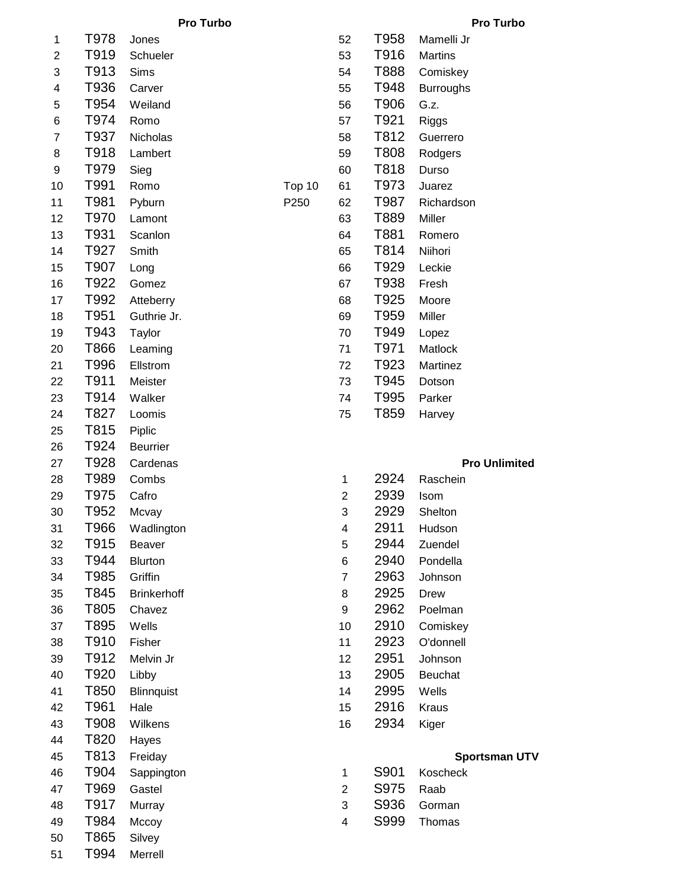|  | <b>Pro Turbo</b> |
|--|------------------|
|--|------------------|

**Pro Turbo Pro Turbo**

| 1              | T978 | Jones              |                | 52             | T958 | Mamelli Jr           |
|----------------|------|--------------------|----------------|----------------|------|----------------------|
| $\overline{2}$ | T919 | Schueler           |                | 53             | T916 | <b>Martins</b>       |
| 3              | T913 | Sims               |                | 54             | T888 | Comiskey             |
| 4              | T936 | Carver             |                | 55             | T948 | <b>Burroughs</b>     |
| 5              | T954 | Weiland            |                | 56             | T906 | G.z.                 |
| 6              | T974 | Romo               |                | 57             | T921 | Riggs                |
| $\overline{7}$ | T937 | Nicholas           |                | 58             | T812 | Guerrero             |
| 8              | T918 | Lambert            |                | 59             | T808 | Rodgers              |
| 9              | T979 | Sieg               |                | 60             | T818 | Durso                |
|                | T991 |                    |                |                | T973 |                      |
| 10<br>11       | T981 | Romo               | Top 10<br>P250 | 61             | T987 | Juarez               |
|                | T970 | Pyburn             |                | 62             | T889 | Richardson           |
| 12             | T931 | Lamont             |                | 63             | T881 | Miller               |
| 13             | T927 | Scanlon            |                | 64             | T814 | Romero               |
| 14             |      | Smith              |                | 65             |      | Niihori              |
| 15             | T907 | Long               |                | 66             | T929 | Leckie               |
| 16             | T922 | Gomez              |                | 67             | T938 | Fresh                |
| 17             | T992 | Atteberry          |                | 68             | T925 | Moore                |
| 18             | T951 | Guthrie Jr.        |                | 69             | T959 | Miller               |
| 19             | T943 | Taylor             |                | 70             | T949 | Lopez                |
| 20             | T866 | Leaming            |                | 71             | T971 | Matlock              |
| 21             | T996 | Ellstrom           |                | 72             | T923 | Martinez             |
| 22             | T911 | Meister            |                | 73             | T945 | Dotson               |
| 23             | T914 | Walker             |                | 74             | T995 | Parker               |
| 24             | T827 | Loomis             |                | 75             | T859 | Harvey               |
| 25             | T815 | Piplic             |                |                |      |                      |
| 26             | T924 | <b>Beurrier</b>    |                |                |      |                      |
| 27             | T928 | Cardenas           |                |                |      | <b>Pro Unlimited</b> |
| 28             | T989 | Combs              |                | 1              | 2924 | Raschein             |
| 29             | T975 | Cafro              |                | $\overline{c}$ | 2939 | Isom                 |
| 30             | T952 | Mcvay              |                | 3              | 2929 | Shelton              |
| 31             | T966 | Wadlington         |                | 4              | 2911 | Hudson               |
| 32             | T915 | <b>Beaver</b>      |                | 5              | 2944 | Zuendel              |
| 33             | T944 | <b>Blurton</b>     |                | 6              | 2940 | Pondella             |
| 34             | T985 | Griffin            |                | 7              | 2963 | Johnson              |
| 35             | T845 | <b>Brinkerhoff</b> |                | 8              | 2925 | <b>Drew</b>          |
| 36             | T805 | Chavez             |                | 9              | 2962 | Poelman              |
| 37             | T895 | Wells              |                | 10             | 2910 | Comiskey             |
| 38             | T910 | Fisher             |                | 11             | 2923 | O'donnell            |
| 39             | T912 | Melvin Jr          |                | 12             | 2951 | Johnson              |
| 40             | T920 | Libby              |                | 13             | 2905 | Beuchat              |
| 41             | T850 | <b>Blinnquist</b>  |                | 14             | 2995 | Wells                |
| 42             | T961 | Hale               |                | 15             | 2916 | Kraus                |
| 43             | T908 | Wilkens            |                | 16             | 2934 | Kiger                |
| 44             | T820 | Hayes              |                |                |      |                      |
| 45             | T813 | Freiday            |                |                |      | <b>Sportsman UTV</b> |
| 46             | T904 | Sappington         |                | 1              | S901 | Koscheck             |
| 47             | T969 | Gastel             |                | $\overline{2}$ | S975 | Raab                 |
| 48             | T917 | Murray             |                | 3              | S936 | Gorman               |
| 49             | T984 | Mccoy              |                | 4              | S999 | Thomas               |
| 50             | T865 | Silvey             |                |                |      |                      |
| E 1            | TQQ4 | <b>Morroll</b>     |                |                |      |                      |

|                |      | I                 |
|----------------|------|-------------------|
| 1              | T978 | Jones             |
| 2              | T919 | Schueler          |
| 3              | T913 | Sims              |
| 4              | T936 | Carver            |
| 5              | T954 | Weiland           |
| 6              | T974 | Romo              |
| $\overline{7}$ | T937 | Nicholas          |
| 8              | T918 | Lambert           |
| 9              | T979 | Sieg              |
| 10             | T991 | Romo              |
| 11             | T981 | Pyburn            |
| 12             | T970 | Lamont            |
| 13             | T931 | Scanlon           |
| 14             | T927 | Smith             |
| 15             | T907 | Long              |
| 16             | T922 | Gomez             |
| 17             | T992 | Atteberry         |
| 18             | T951 | Guthrie Jr.       |
| 19             | T943 | Taylor            |
| 20             | T866 | Leaming           |
| 21             | T996 | Ellstrom          |
| 22             | T911 | Meister           |
| 23             | T914 | Walker            |
| 24             | T827 | Loomis            |
| 25             | T815 | Piplic            |
| 26             | T924 | <b>Beurrier</b>   |
| 27             | T928 | Cardenas          |
| 28             | T989 | Combs             |
| 29             | T975 | Cafro             |
| 30             | T952 | Mcvay             |
| 31             | Т966 | Wadlingtoı        |
| 32             | T915 | Beaver            |
| 33             | T944 | <b>Blurton</b>    |
| 34             | T985 | Griffin           |
| 35             | T845 | <b>Brinkerhof</b> |
| 36             | T805 | Chavez            |
| 37             | T895 | Wells             |
| 38             | T910 | Fisher            |
| 39             | T912 | Melvin Jr         |
| 40             | T920 | Libby             |
| 41             | T850 | <b>Blinnquist</b> |
| 42             | T961 | Hale              |
| 43             | T908 | Wilkens           |
| 44             | T820 |                   |
|                |      | Hayes             |
| 45             | T813 | Freiday           |
| 46             | T904 | Sappingtor        |
| 47             | T969 | Gastel            |
| 48             | T917 | Murray            |
| 49             | T984 | Mccoy             |
| 50             | T865 | Silvey            |
| 51             | T994 | Merrell           |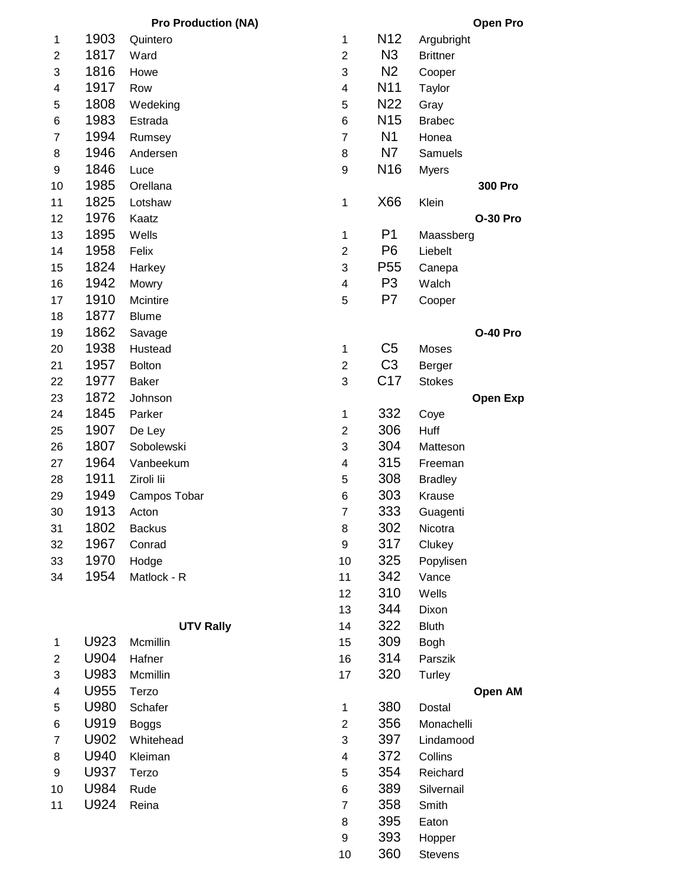|                         |      | <b>Pro Production (NA)</b> |                         |                  | <b>Open Pro</b> |
|-------------------------|------|----------------------------|-------------------------|------------------|-----------------|
| $\mathbf{1}$            | 1903 | Quintero                   | $\mathbf{1}$            | N <sub>12</sub>  | Argubright      |
| $\overline{\mathbf{c}}$ | 1817 | Ward                       | $\overline{c}$          | N <sub>3</sub>   | <b>Brittner</b> |
| 3                       | 1816 | Howe                       | 3                       | N <sub>2</sub>   | Cooper          |
| 4                       | 1917 | Row                        | $\overline{\mathbf{4}}$ | N <sub>1</sub> 1 | Taylor          |
| 5                       | 1808 | Wedeking                   | 5                       | N <sub>22</sub>  | Gray            |
| 6                       | 1983 | Estrada                    | 6                       | N <sub>15</sub>  | <b>Brabec</b>   |
| $\overline{7}$          | 1994 | Rumsey                     | $\overline{7}$          | N <sub>1</sub>   | Honea           |
| 8                       | 1946 | Andersen                   | 8                       | N7               | Samuels         |
| 9                       | 1846 | Luce                       | 9                       | N <sub>16</sub>  | <b>Myers</b>    |
| 10                      | 1985 | Orellana                   |                         |                  | 300 Pro         |
| 11                      | 1825 | Lotshaw                    | $\mathbf{1}$            | X66              | Klein           |
| 12                      | 1976 | Kaatz                      |                         |                  | <b>O-30 Pro</b> |
| 13                      | 1895 | Wells                      | $\mathbf 1$             | P <sub>1</sub>   | Maassberg       |
| 14                      | 1958 | Felix                      | $\overline{2}$          | P <sub>6</sub>   | Liebelt         |
| 15                      | 1824 | Harkey                     | 3                       | P <sub>55</sub>  | Canepa          |
| 16                      | 1942 | Mowry                      | $\overline{\mathbf{4}}$ | P <sub>3</sub>   | Walch           |
| 17                      | 1910 | Mcintire                   | 5                       | P7               | Cooper          |
| 18                      | 1877 | <b>Blume</b>               |                         |                  |                 |
| 19                      | 1862 | Savage                     |                         |                  | <b>O-40 Pro</b> |
| 20                      | 1938 | Hustead                    | $\mathbf 1$             | C <sub>5</sub>   | Moses           |
| 21                      | 1957 | Bolton                     | $\overline{c}$          | C <sub>3</sub>   | Berger          |
| 22                      | 1977 | <b>Baker</b>               | 3                       | C17              | <b>Stokes</b>   |
| 23                      | 1872 | Johnson                    |                         |                  | <b>Open Exp</b> |
| 24                      | 1845 | Parker                     | $\mathbf 1$             | 332              | Coye            |
| 25                      | 1907 | De Ley                     | $\overline{c}$          | 306              | Huff            |
| 26                      | 1807 | Sobolewski                 | 3                       | 304              | Matteson        |
| 27                      | 1964 | Vanbeekum                  | $\overline{\mathbf{4}}$ | 315              | Freeman         |
| 28                      | 1911 | Ziroli lii                 | 5                       | 308              | <b>Bradley</b>  |
| 29                      | 1949 | Campos Tobar               | 6                       | 303              | Krause          |
| 30                      | 1913 | Acton                      | $\overline{7}$          | 333              | Guagenti        |
| 31                      | 1802 | <b>Backus</b>              | 8                       | 302              | Nicotra         |
| 32                      | 1967 | Conrad                     | 9                       | 317              | Clukey          |
| 33                      | 1970 | Hodge                      | 10                      | 325              | Popylisen       |
| 34                      | 1954 | Matlock - R                | 11                      | 342              | Vance           |

|                |      | <b>UTV Rally</b> | 14 | 322 | <b>Bluth</b> |
|----------------|------|------------------|----|-----|--------------|
| 1              | U923 | Mcmillin         | 15 | 309 | Bogh         |
| 2              | U904 | Hafner           | 16 | 314 | Parszik      |
| 3              | U983 | Mcmillin         | 17 | 320 | Turley       |
| 4              | U955 | Terzo            |    |     |              |
| 5              | U980 | Schafer          | 1  | 380 | Dostal       |
| 6              | U919 | <b>Boggs</b>     | 2  | 356 | Monache      |
| $\overline{7}$ | U902 | Whitehead        | 3  | 397 | Lindamo      |
| 8              | U940 | Kleiman          | 4  | 372 | Collins      |
| 9              | U937 | Terzo            | 5  | 354 | Reichard     |
| 10             | U984 | Rude             | 6  | 389 | Silvernail   |
| 11             | U924 | Reina            | 7  | 358 | Smith        |
|                |      |                  |    |     |              |

| $\mathbf 1$    | 1903 | Quintero         | 1                        | N <sub>12</sub> | Argubright      |
|----------------|------|------------------|--------------------------|-----------------|-----------------|
| $\overline{2}$ | 1817 | Ward             | $\overline{c}$           | N3              | <b>Brittner</b> |
| 3              | 1816 | Howe             | 3                        | N <sub>2</sub>  | Cooper          |
| 4              | 1917 | Row              | 4                        | N <sub>1</sub>  | Taylor          |
| 5              | 1808 | Wedeking         | 5                        | N <sub>22</sub> | Gray            |
| 6              | 1983 | Estrada          | 6                        | N <sub>15</sub> | <b>Brabec</b>   |
| 7              | 1994 | Rumsey           | $\overline{7}$           | N <sub>1</sub>  | Honea           |
| 8              | 1946 | Andersen         | 8                        | N7              | Samuels         |
| 9              | 1846 | Luce             | 9                        | N <sub>16</sub> | <b>Myers</b>    |
| 10             | 1985 | Orellana         |                          |                 | 300 Pro         |
| 11             | 1825 | Lotshaw          | 1                        | X66             | Klein           |
| 12             | 1976 | Kaatz            |                          |                 | <b>O-30 Pro</b> |
| 13             | 1895 | Wells            | $\mathbf 1$              | P <sub>1</sub>  | Maassberg       |
| 14             | 1958 | Felix            | $\overline{c}$           | P <sub>6</sub>  | Liebelt         |
| 15             | 1824 | Harkey           | 3                        | P <sub>55</sub> | Canepa          |
| 16             | 1942 | Mowry            | $\overline{\mathcal{A}}$ | P <sub>3</sub>  | Walch           |
| 17             | 1910 | Mcintire         | 5                        | P7              | Cooper          |
| 18             | 1877 | <b>Blume</b>     |                          |                 |                 |
| 19             | 1862 | Savage           |                          |                 | O-40 Pro        |
| 20             | 1938 | Hustead          | $\mathbf 1$              | C <sub>5</sub>  | Moses           |
| 21             | 1957 | <b>Bolton</b>    | $\overline{c}$           | C <sub>3</sub>  | Berger          |
| 22             | 1977 | <b>Baker</b>     | 3                        | C17             | <b>Stokes</b>   |
| 23             | 1872 | Johnson          |                          |                 | <b>Open Exp</b> |
| 24             | 1845 | Parker           | $\mathbf 1$              | 332             | Coye            |
| 25             | 1907 | De Ley           | $\overline{2}$           | 306             | Huff            |
| 26             | 1807 | Sobolewski       | 3                        | 304             | Matteson        |
| 27             | 1964 | Vanbeekum        | $\overline{\mathbf{4}}$  | 315             | Freeman         |
| 28             | 1911 | Ziroli lii       | 5                        | 308             | <b>Bradley</b>  |
| 29             | 1949 | Campos Tobar     | 6                        | 303             | Krause          |
| 30             | 1913 | Acton            | $\overline{7}$           | 333             | Guagenti        |
| 31             | 1802 | <b>Backus</b>    | 8                        | 302             | Nicotra         |
| 32             | 1967 | Conrad           | 9                        | 317             | Clukey          |
| 33             | 1970 | Hodge            | 10                       | 325             | Popylisen       |
| 34             | 1954 | Matlock - R      | 11                       | 342             | Vance           |
|                |      |                  | 12                       | 310             | Wells           |
|                |      |                  | 13                       | 344             | Dixon           |
|                |      | <b>UTV Rally</b> | 14                       | 322             | <b>Bluth</b>    |
| 1              | U923 | Mcmillin         | 15                       | 309             | Bogh            |
| 2              | U904 | Hafner           | 16                       | 314             | Parszik         |
| 3              | U983 | Mcmillin         | 17                       | 320             | Turley          |
| 4              | U955 | Terzo            |                          |                 | Open AM         |
| 5              | U980 | Schafer          | 1                        | 380             | Dostal          |
| 6              | U919 | <b>Boggs</b>     | $\overline{2}$           | 356             | Monachelli      |
| 7              | U902 | Whitehead        | 3                        | 397             | Lindamood       |
| 8              | U940 | Kleiman          | 4                        | 372             | Collins         |
| 9              | U937 | Terzo            | 5                        | 354             | Reichard        |
| 10             | U984 | Rude             | 6                        | 389             | Silvernail      |
| 11             | U924 | Reina            | $\overline{7}$           | 358             | Smith           |
|                |      |                  | 8                        | 395             | Eaton           |
|                |      |                  | 9                        | 393             | Hopper          |
|                |      |                  | 10                       | 360             | <b>Stevens</b>  |